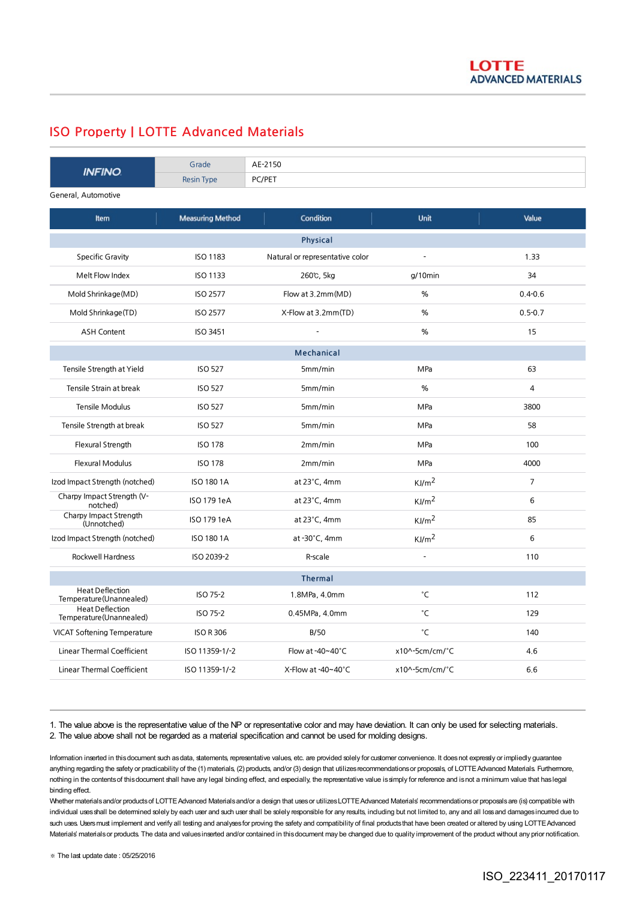## ISO Property | LOTTE Advanced Materials

| <b>INFINO</b>                                      | Grade                   | AE-2150                         |                     |                |
|----------------------------------------------------|-------------------------|---------------------------------|---------------------|----------------|
|                                                    | <b>Resin Type</b>       | PC/PET                          |                     |                |
| General, Automotive                                |                         |                                 |                     |                |
| Item                                               | <b>Measuring Method</b> | Condition                       | <b>Unit</b>         | Value          |
| <b>Physical</b>                                    |                         |                                 |                     |                |
| <b>Specific Gravity</b>                            | <b>ISO 1183</b>         | Natural or representative color |                     | 1.33           |
| Melt Flow Index                                    | <b>ISO 1133</b>         | 260℃, 5kg                       | $g/10$ min          | 34             |
| Mold Shrinkage (MD)                                | <b>ISO 2577</b>         | Flow at 3.2mm(MD)               | $\%$                | $0.4 - 0.6$    |
| Mold Shrinkage(TD)                                 | <b>ISO 2577</b>         | X-Flow at 3.2mm(TD)             | %                   | $0.5 - 0.7$    |
| <b>ASH Content</b>                                 | <b>ISO 3451</b>         |                                 | %                   | 15             |
| <b>Mechanical</b>                                  |                         |                                 |                     |                |
| Tensile Strength at Yield                          | <b>ISO 527</b>          | 5mm/min                         | MPa                 | 63             |
| Tensile Strain at break                            | <b>ISO 527</b>          | 5mm/min                         | %                   | $\overline{4}$ |
| <b>Tensile Modulus</b>                             | <b>ISO 527</b>          | 5mm/min                         | MPa                 | 3800           |
| Tensile Strength at break                          | <b>ISO 527</b>          | 5mm/min                         | MPa                 | 58             |
| Flexural Strength                                  | <b>ISO 178</b>          | 2mm/min                         | MPa                 | 100            |
| <b>Flexural Modulus</b>                            | <b>ISO 178</b>          | 2mm/min                         | MPa                 | 4000           |
| Izod Impact Strength (notched)                     | <b>ISO 180 1A</b>       | at $23^{\circ}$ C, 4mm          | KJ/m <sup>2</sup>   | $\overline{7}$ |
| Charpy Impact Strength (V-<br>notched)             | ISO 179 1eA             | at $23^{\circ}$ C, 4mm          | KJ/m <sup>2</sup>   | 6              |
| Charpy Impact Strength<br>(Unnotched)              | ISO 179 1eA             | at $23^{\circ}$ C, 4mm          | KJ/m <sup>2</sup>   | 85             |
| Izod Impact Strength (notched)                     | <b>ISO 180 1A</b>       | at -30°C, 4mm                   | KJ/m <sup>2</sup>   | 6              |
| <b>Rockwell Hardness</b>                           | ISO 2039-2              | R-scale                         |                     | 110            |
|                                                    |                         | <b>Thermal</b>                  |                     |                |
| <b>Heat Deflection</b><br>Temperature (Unannealed) | ISO 75-2                | 1.8MPa, 4.0mm                   | $^\circ \mathsf{C}$ | 112            |
| <b>Heat Deflection</b><br>Temperature (Unannealed) | ISO 75-2                | 0.45MPa, 4.0mm                  | °C                  | 129            |
| <b>VICAT Softening Temperature</b>                 | <b>ISO R 306</b>        | <b>B/50</b>                     | °C                  | 140            |
| <b>Linear Thermal Coefficient</b>                  | ISO 11359-1/-2          | Flow at -40~40°C                | x10^-5cm/cm/°C      | 4.6            |
| <b>Linear Thermal Coefficient</b>                  | ISO 11359-1/-2          | X-Flow at -40~40°C              | x10^-5cm/cm/°C      | 6.6            |

1. The value above is the representative value of the NP or representative color and may have deviation. It can only be used for selecting materials. 2. The value above shall not be regarded as a material specification and cannot be used for molding designs.

Information inserted in this document such as data, statements, representative values, etc. are provided solely for customer convenience. It does not expressly or impliedly guarantee anything regarding the safety or practicability of the (1) materials, (2) products, and/or (3) design that utilizes recommendations or proposals, of LOTTE Advanced Materials. Furthermore, nothing in the contentsof thisdocument shall have any legal binding effect, and especially, the representative value issimply for reference and isnot a minimum value that haslegal binding effect.

Whether materials and/or products of LOTTE Advanced Materials and/or a design that uses or utilizes LOTTE Advanced Materials' recommendations or proposals are (is) compatible with individual uses shall be determined solely by each user and such user shall be solely responsible for any results, including but not limited to, any and all loss and damages incurred due to such uses. Users must implement and verify all testing and analyses for proving the safety and compatibility of final products that have been created or altered by using LOTTE Advanced Materials' materials or products. The data and values inserted and/or contained in this document may be changed due to quality improvement of the product without any prior notification.